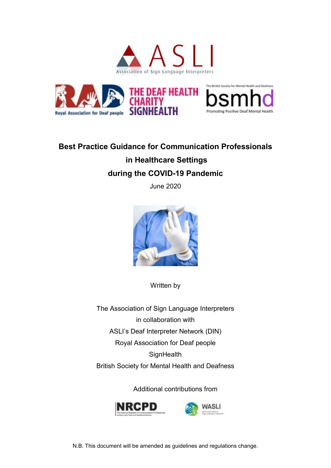



# **Best Practice Guidance for Communication Professionals in Healthcare Settings during the COVID-19 Pandemic**

June 2020



Written by

The Association of Sign Language Interpreters in collaboration with ASLI's Deaf Interpreter Network (DIN) Royal Association for Deaf people **SignHealth** British Society for Mental Health and Deafness

Additional contributions from

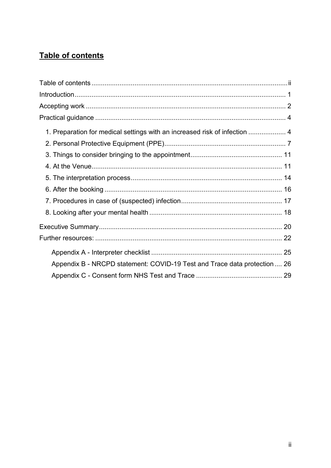## Table of contents

| 1. Preparation for medical settings with an increased risk of infection  4 |  |
|----------------------------------------------------------------------------|--|
|                                                                            |  |
|                                                                            |  |
|                                                                            |  |
|                                                                            |  |
|                                                                            |  |
|                                                                            |  |
|                                                                            |  |
|                                                                            |  |
|                                                                            |  |
|                                                                            |  |
| Appendix B - NRCPD statement: COVID-19 Test and Trace data protection 26   |  |
|                                                                            |  |
|                                                                            |  |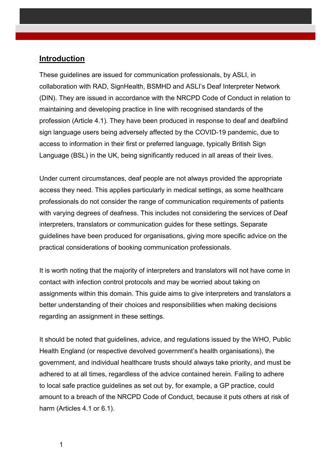#### **Introduction**

These guidelines are issued for communication professionals, by ASLI, in collaboration with RAD, SignHealth, BSMHD and ASLI's Deaf Interpreter Network (DIN). They are issued in accordance with the NRCPD Code of Conduct in relation to maintaining and developing practice in line with recognised standards of the profession (Article 4.1). They have been produced in response to deaf and deafblind sign language users being adversely affected by the COVID-19 pandemic, due to access to information in their first or preferred language, typically British Sign Language (BSL) in the UK, being significantly reduced in all areas of their lives.

Under current circumstances, deaf people are not always provided the appropriate access they need. This applies particularly in medical settings, as some healthcare professionals do not consider the range of communication requirements of patients with varying degrees of deafness. This includes not considering the services of Deaf interpreters, translators or communication guides for these settings. Separate guidelines have been produced for organisations, giving more specific advice on the practical considerations of booking communication professionals.

It is worth noting that the majority of interpreters and translators will not have come in contact with infection control protocols and may be worried about taking on assignments within this domain. This guide aims to give interpreters and translators a better understanding of their choices and responsibilities when making decisions regarding an assignment in these settings.

It should be noted that guidelines, advice, and regulations issued by the WHO, Public Health England (or respective devolved government's health organisations), the government, and individual healthcare trusts should always take priority, and must be adhered to at all times, regardless of the advice contained herein. Failing to adhere to local safe practice guidelines as set out by, for example, a GP practice, could amount to a breach of the NRCPD Code of Conduct, because it puts others at risk of harm (Articles 4.1 or 6.1).

1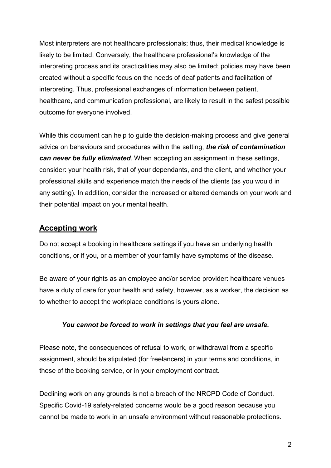Most interpreters are not healthcare professionals; thus, their medical knowledge is likely to be limited. Conversely, the healthcare professional's knowledge of the interpreting process and its practicalities may also be limited; policies may have been created without a specific focus on the needs of deaf patients and facilitation of interpreting. Thus, professional exchanges of information between patient, healthcare, and communication professional, are likely to result in the safest possible outcome for everyone involved.

While this document can help to guide the decision-making process and give general advice on behaviours and procedures within the setting, *the risk of contamination can never be fully eliminated*. When accepting an assignment in these settings, consider: your health risk, that of your dependants, and the client, and whether your professional skills and experience match the needs of the clients (as you would in any setting). In addition, consider the increased or altered demands on your work and their potential impact on your mental health.

#### **Accepting work**

Do not accept a booking in healthcare settings if you have an underlying health conditions, or if you, or a member of your family have symptoms of the disease.

Be aware of your rights as an employee and/or service provider: healthcare venues have a duty of care for your health and safety, however, as a worker, the decision as to whether to accept the workplace conditions is yours alone.

#### *You cannot be forced to work in settings that you feel are unsafe.*

Please note, the consequences of refusal to work, or withdrawal from a specific assignment, should be stipulated (for freelancers) in your terms and conditions, in those of the booking service, or in your employment contract.

Declining work on any grounds is not a breach of the NRCPD Code of Conduct. Specific Covid-19 safety-related concerns would be a good reason because you cannot be made to work in an unsafe environment without reasonable protections.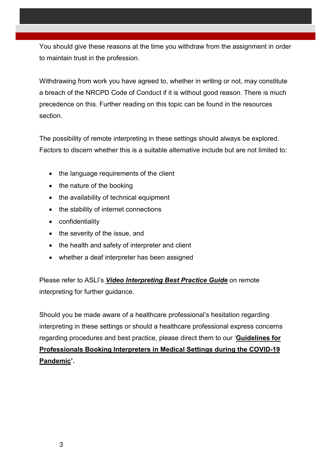You should give these reasons at the time you withdraw from the assignment in order to maintain trust in the profession.

Withdrawing from work you have agreed to, whether in writing or not, may constitute a breach of the NRCPD Code of Conduct if it is without good reason. There is much precedence on this. Further reading on this topic can be found in the resources section.

The possibility of remote interpreting in these settings should always be explored. Factors to discern whether this is a suitable alternative include but are not limited to:

- the language requirements of the client
- $\bullet$  the nature of the booking
- the availability of technical equipment
- the stability of internet connections
- confidentiality
- the severity of the issue, and
- the health and safety of interpreter and client
- whether a deaf interpreter has been assigned

Please refer to ASLI's *Video Interpreting Best Practice Guide* on remote interpreting for further guidance.

Should you be made aware of a healthcare professional's hesitation regarding interpreting in these settings or should a healthcare professional express concerns regarding procedures and best practice, please direct them to our '**Guidelines for Professionals Booking Interpreters in Medical Settings during the COVID-19 Pandemic'.**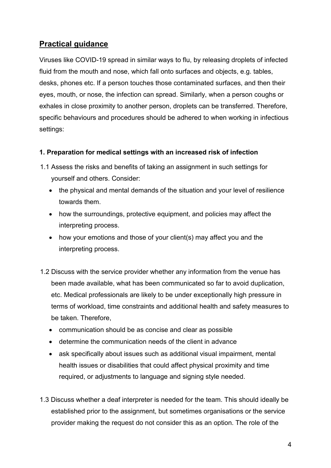### **Practical guidance**

Viruses like COVID-19 spread in similar ways to flu, by releasing droplets of infected fluid from the mouth and nose, which fall onto surfaces and objects, e.g. tables, desks, phones etc. If a person touches those contaminated surfaces, and then their eyes, mouth, or nose, the infection can spread. Similarly, when a person coughs or exhales in close proximity to another person, droplets can be transferred. Therefore, specific behaviours and procedures should be adhered to when working in infectious settings:

#### **1. Preparation for medical settings with an increased risk of infection**

- 1.1 Assess the risks and benefits of taking an assignment in such settings for yourself and others. Consider:
	- the physical and mental demands of the situation and your level of resilience towards them.
	- how the surroundings, protective equipment, and policies may affect the interpreting process.
	- how your emotions and those of your client(s) may affect you and the interpreting process.
- 1.2 Discuss with the service provider whether any information from the venue has been made available, what has been communicated so far to avoid duplication, etc. Medical professionals are likely to be under exceptionally high pressure in terms of workload, time constraints and additional health and safety measures to be taken. Therefore,
	- communication should be as concise and clear as possible
	- determine the communication needs of the client in advance
	- ask specifically about issues such as additional visual impairment, mental health issues or disabilities that could affect physical proximity and time required, or adjustments to language and signing style needed.
- 1.3 Discuss whether a deaf interpreter is needed for the team. This should ideally be established prior to the assignment, but sometimes organisations or the service provider making the request do not consider this as an option. The role of the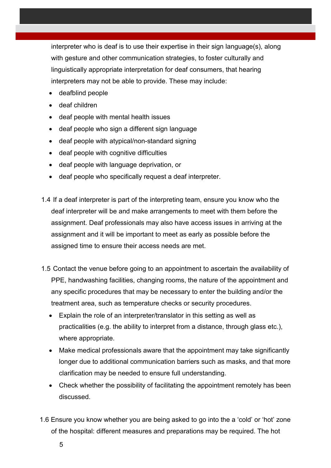interpreter who is deaf is to use their expertise in their sign language(s), along with gesture and other communication strategies, to foster culturally and linguistically appropriate interpretation for deaf consumers, that hearing interpreters may not be able to provide. These may include:

- deafblind people
- deaf children
- deaf people with mental health issues
- deaf people who sign a different sign language
- deaf people with atypical/non-standard signing
- deaf people with cognitive difficulties
- deaf people with language deprivation, or
- deaf people who specifically request a deaf interpreter.
- 1.4 If a deaf interpreter is part of the interpreting team, ensure you know who the deaf interpreter will be and make arrangements to meet with them before the assignment. Deaf professionals may also have access issues in arriving at the assignment and it will be important to meet as early as possible before the assigned time to ensure their access needs are met.
- 1.5 Contact the venue before going to an appointment to ascertain the availability of PPE, handwashing facilities, changing rooms, the nature of the appointment and any specific procedures that may be necessary to enter the building and/or the treatment area, such as temperature checks or security procedures.
	- Explain the role of an interpreter/translator in this setting as well as practicalities (e.g. the ability to interpret from a distance, through glass etc.), where appropriate.
	- Make medical professionals aware that the appointment may take significantly longer due to additional communication barriers such as masks, and that more clarification may be needed to ensure full understanding.
	- Check whether the possibility of facilitating the appointment remotely has been discussed.
- 1.6 Ensure you know whether you are being asked to go into the a 'cold' or 'hot' zone of the hospital: different measures and preparations may be required. The hot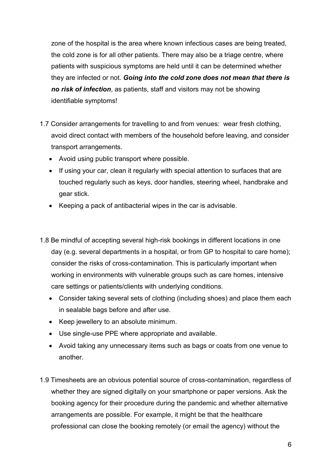zone of the hospital is the area where known infectious cases are being treated, the cold zone is for all other patients. There may also be a triage centre, where patients with suspicious symptoms are held until it can be determined whether they are infected or not. *Going into the cold zone does not mean that there is no risk of infection*, as patients, staff and visitors may not be showing identifiable symptoms!

- 1.7 Consider arrangements for travelling to and from venues: wear fresh clothing, avoid direct contact with members of the household before leaving, and consider transport arrangements.
	- Avoid using public transport where possible.
	- If using your car, clean it regularly with special attention to surfaces that are touched regularly such as keys, door handles, steering wheel, handbrake and gear stick.
	- Keeping a pack of antibacterial wipes in the car is advisable.
- 1.8 Be mindful of accepting several high-risk bookings in different locations in one day (e.g. several departments in a hospital, or from GP to hospital to care home); consider the risks of cross-contamination. This is particularly important when working in environments with vulnerable groups such as care homes, intensive care settings or patients/clients with underlying conditions.
	- Consider taking several sets of clothing (including shoes) and place them each in sealable bags before and after use.
	- Keep jewellery to an absolute minimum.
	- Use single-use PPE where appropriate and available.
	- Avoid taking any unnecessary items such as bags or coats from one venue to another.
- 1.9 Timesheets are an obvious potential source of cross-contamination, regardless of whether they are signed digitally on your smartphone or paper versions. Ask the booking agency for their procedure during the pandemic and whether alternative arrangements are possible. For example, it might be that the healthcare professional can close the booking remotely (or email the agency) without the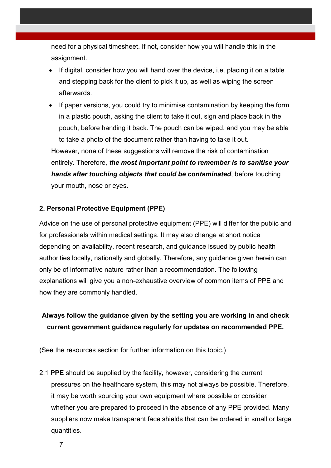need for a physical timesheet. If not, consider how you will handle this in the assignment.

- If digital, consider how you will hand over the device, i.e. placing it on a table and stepping back for the client to pick it up, as well as wiping the screen afterwards.
- If paper versions, you could try to minimise contamination by keeping the form in a plastic pouch, asking the client to take it out, sign and place back in the pouch, before handing it back. The pouch can be wiped, and you may be able to take a photo of the document rather than having to take it out.

However, none of these suggestions will remove the risk of contamination entirely. Therefore, *the most important point to remember is to sanitise your hands after touching objects that could be contaminated*, before touching your mouth, nose or eyes.

#### **2. Personal Protective Equipment (PPE)**

Advice on the use of personal protective equipment (PPE) will differ for the public and for professionals within medical settings. It may also change at short notice depending on availability, recent research, and guidance issued by public health authorities locally, nationally and globally. Therefore, any guidance given herein can only be of informative nature rather than a recommendation. The following explanations will give you a non-exhaustive overview of common items of PPE and how they are commonly handled.

### **Always follow the guidance given by the setting you are working in and check current government guidance regularly for updates on recommended PPE.**

(See the resources section for further information on this topic.)

2.1 **PPE** should be supplied by the facility, however, considering the current pressures on the healthcare system, this may not always be possible. Therefore, it may be worth sourcing your own equipment where possible or consider whether you are prepared to proceed in the absence of any PPE provided. Many suppliers now make transparent face shields that can be ordered in small or large quantities.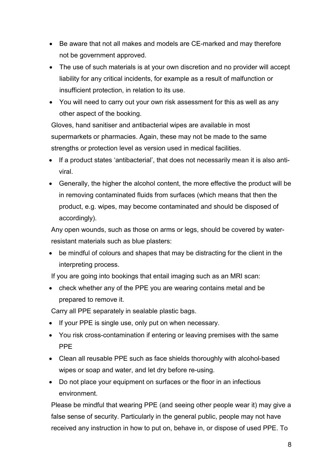- Be aware that not all makes and models are CE-marked and may therefore not be government approved.
- The use of such materials is at your own discretion and no provider will accept liability for any critical incidents, for example as a result of malfunction or insufficient protection, in relation to its use.
- You will need to carry out your own risk assessment for this as well as any other aspect of the booking.

Gloves, hand sanitiser and antibacterial wipes are available in most supermarkets or pharmacies. Again, these may not be made to the same strengths or protection level as version used in medical facilities.

- If a product states 'antibacterial', that does not necessarily mean it is also antiviral.
- Generally, the higher the alcohol content, the more effective the product will be in removing contaminated fluids from surfaces (which means that then the product, e.g. wipes, may become contaminated and should be disposed of accordingly).

Any open wounds, such as those on arms or legs, should be covered by waterresistant materials such as blue plasters:

 be mindful of colours and shapes that may be distracting for the client in the interpreting process.

If you are going into bookings that entail imaging such as an MRI scan:

• check whether any of the PPE you are wearing contains metal and be prepared to remove it.

Carry all PPE separately in sealable plastic bags.

- If your PPE is single use, only put on when necessary.
- You risk cross-contamination if entering or leaving premises with the same PPE
- Clean all reusable PPE such as face shields thoroughly with alcohol-based wipes or soap and water, and let dry before re-using.
- Do not place your equipment on surfaces or the floor in an infectious environment.

Please be mindful that wearing PPE (and seeing other people wear it) may give a false sense of security. Particularly in the general public, people may not have received any instruction in how to put on, behave in, or dispose of used PPE. To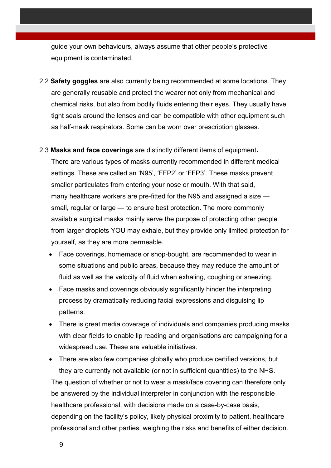guide your own behaviours, always assume that other people's protective equipment is contaminated.

- 2.2 **Safety goggles** are also currently being recommended at some locations. They are generally reusable and protect the wearer not only from mechanical and chemical risks, but also from bodily fluids entering their eyes. They usually have tight seals around the lenses and can be compatible with other equipment such as half-mask respirators. Some can be worn over prescription glasses.
- 2.3 **Masks and face coverings** are distinctly different items of equipment**.**  There are various types of masks currently recommended in different medical settings. These are called an 'N95', 'FFP2' or 'FFP3'. These masks prevent smaller particulates from entering your nose or mouth. With that said, many healthcare workers are pre-fitted for the N95 and assigned a size small, regular or large — to ensure best protection. The more commonly available surgical masks mainly serve the purpose of protecting other people from larger droplets YOU may exhale, but they provide only limited protection for yourself, as they are more permeable.
	- Face coverings, homemade or shop-bought, are recommended to wear in some situations and public areas, because they may reduce the amount of fluid as well as the velocity of fluid when exhaling, coughing or sneezing.
	- Face masks and coverings obviously significantly hinder the interpreting process by dramatically reducing facial expressions and disguising lip patterns.
	- There is great media coverage of individuals and companies producing masks with clear fields to enable lip reading and organisations are campaigning for a widespread use. These are valuable initiatives.

 There are also few companies globally who produce certified versions, but they are currently not available (or not in sufficient quantities) to the NHS. The question of whether or not to wear a mask/face covering can therefore only be answered by the individual interpreter in conjunction with the responsible healthcare professional, with decisions made on a case-by-case basis, depending on the facility's policy, likely physical proximity to patient, healthcare professional and other parties, weighing the risks and benefits of either decision.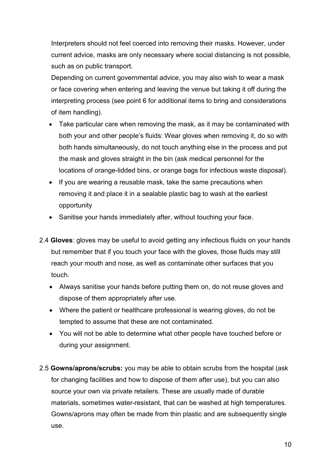Interpreters should not feel coerced into removing their masks. However, under current advice, masks are only necessary where social distancing is not possible, such as on public transport.

Depending on current governmental advice, you may also wish to wear a mask or face covering when entering and leaving the venue but taking it off during the interpreting process (see point 6 for additional items to bring and considerations of item handling).

- Take particular care when removing the mask, as it may be contaminated with both your and other people's fluids: Wear gloves when removing it, do so with both hands simultaneously, do not touch anything else in the process and put the mask and gloves straight in the bin (ask medical personnel for the locations of orange-lidded bins, or orange bags for infectious waste disposal).
- If you are wearing a reusable mask, take the same precautions when removing it and place it in a sealable plastic bag to wash at the earliest opportunity
- Sanitise your hands immediately after, without touching your face.
- 2.4 **Gloves**: gloves may be useful to avoid getting any infectious fluids on your hands but remember that if you touch your face with the gloves, those fluids may still reach your mouth and nose, as well as contaminate other surfaces that you touch.
	- Always sanitise your hands before putting them on, do not reuse gloves and dispose of them appropriately after use.
	- Where the patient or healthcare professional is wearing gloves, do not be tempted to assume that these are not contaminated.
	- You will not be able to determine what other people have touched before or during your assignment.
- 2.5 **Gowns/aprons/scrubs:** you may be able to obtain scrubs from the hospital (ask for changing facilities and how to dispose of them after use), but you can also source your own via private retailers. These are usually made of durable materials, sometimes water-resistant, that can be washed at high temperatures. Gowns/aprons may often be made from thin plastic and are subsequently single use.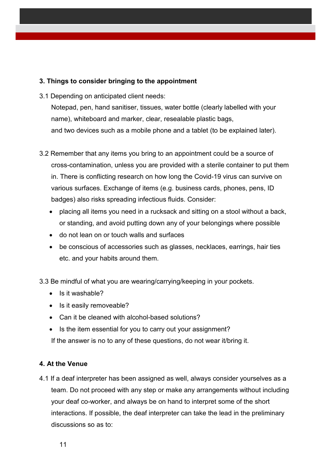#### **3. Things to consider bringing to the appointment**

3.1 Depending on anticipated client needs:

Notepad, pen, hand sanitiser, tissues, water bottle (clearly labelled with your name), whiteboard and marker, clear, resealable plastic bags, and two devices such as a mobile phone and a tablet (to be explained later).

- 3.2 Remember that any items you bring to an appointment could be a source of cross-contamination, unless you are provided with a sterile container to put them in. There is conflicting research on how long the Covid-19 virus can survive on various surfaces. Exchange of items (e.g. business cards, phones, pens, ID badges) also risks spreading infectious fluids. Consider:
	- placing all items you need in a rucksack and sitting on a stool without a back, or standing, and avoid putting down any of your belongings where possible
	- do not lean on or touch walls and surfaces
	- be conscious of accessories such as glasses, necklaces, earrings, hair ties etc. and your habits around them.

3.3 Be mindful of what you are wearing/carrying/keeping in your pockets.

- $\bullet$  Is it washable?
- Is it easily removeable?
- Can it be cleaned with alcohol-based solutions?
- Is the item essential for you to carry out your assignment?

If the answer is no to any of these questions, do not wear it/bring it.

#### **4. At the Venue**

4.1 If a deaf interpreter has been assigned as well, always consider yourselves as a team. Do not proceed with any step or make any arrangements without including your deaf co-worker, and always be on hand to interpret some of the short interactions. If possible, the deaf interpreter can take the lead in the preliminary discussions so as to: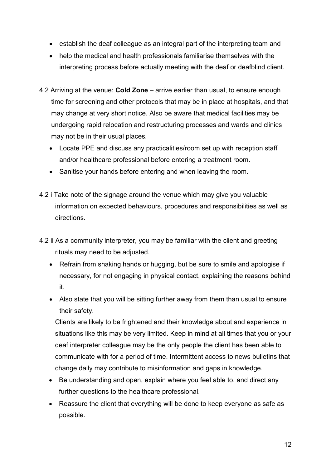- establish the deaf colleague as an integral part of the interpreting team and
- help the medical and health professionals familiarise themselves with the interpreting process before actually meeting with the deaf or deafblind client.
- 4.2 Arriving at the venue: **Cold Zone** arrive earlier than usual, to ensure enough time for screening and other protocols that may be in place at hospitals, and that may change at very short notice. Also be aware that medical facilities may be undergoing rapid relocation and restructuring processes and wards and clinics may not be in their usual places.
	- Locate PPE and discuss any practicalities/room set up with reception staff and/or healthcare professional before entering a treatment room.
	- Sanitise your hands before entering and when leaving the room.
- 4.2 i Take note of the signage around the venue which may give you valuable information on expected behaviours, procedures and responsibilities as well as directions.
- 4.2 ii As a community interpreter, you may be familiar with the client and greeting rituals may need to be adjusted.
	- Refrain from shaking hands or hugging, but be sure to smile and apologise if necessary, for not engaging in physical contact, explaining the reasons behind it.
	- Also state that you will be sitting further away from them than usual to ensure their safety.

Clients are likely to be frightened and their knowledge about and experience in situations like this may be very limited. Keep in mind at all times that you or your deaf interpreter colleague may be the only people the client has been able to communicate with for a period of time. Intermittent access to news bulletins that change daily may contribute to misinformation and gaps in knowledge.

- Be understanding and open, explain where you feel able to, and direct any further questions to the healthcare professional.
- Reassure the client that everything will be done to keep everyone as safe as possible.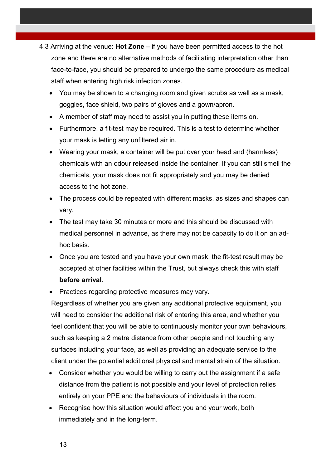- 4.3 Arriving at the venue: **Hot Zone**  if you have been permitted access to the hot zone and there are no alternative methods of facilitating interpretation other than face-to-face, you should be prepared to undergo the same procedure as medical staff when entering high risk infection zones.
	- You may be shown to a changing room and given scrubs as well as a mask, goggles, face shield, two pairs of gloves and a gown/apron.
	- A member of staff may need to assist you in putting these items on.
	- Furthermore, a fit-test may be required. This is a test to determine whether your mask is letting any unfiltered air in.
	- Wearing your mask, a container will be put over your head and (harmless) chemicals with an odour released inside the container. If you can still smell the chemicals, your mask does not fit appropriately and you may be denied access to the hot zone.
	- The process could be repeated with different masks, as sizes and shapes can vary.
	- The test may take 30 minutes or more and this should be discussed with medical personnel in advance, as there may not be capacity to do it on an adhoc basis.
	- Once you are tested and you have your own mask, the fit-test result may be accepted at other facilities within the Trust, but always check this with staff **before arrival**.
	- Practices regarding protective measures may vary.

Regardless of whether you are given any additional protective equipment, you will need to consider the additional risk of entering this area, and whether you feel confident that you will be able to continuously monitor your own behaviours, such as keeping a 2 metre distance from other people and not touching any surfaces including your face, as well as providing an adequate service to the client under the potential additional physical and mental strain of the situation.

- Consider whether you would be willing to carry out the assignment if a safe distance from the patient is not possible and your level of protection relies entirely on your PPE and the behaviours of individuals in the room.
- Recognise how this situation would affect you and your work, both immediately and in the long-term.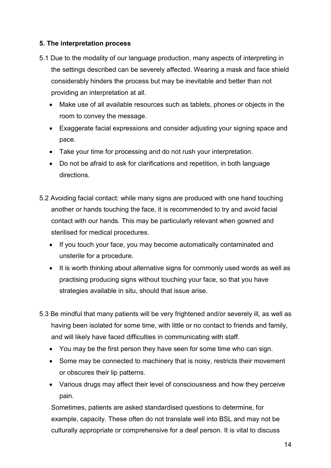#### **5. The interpretation process**

- 5.1 Due to the modality of our language production, many aspects of interpreting in the settings described can be severely affected. Wearing a mask and face shield considerably hinders the process but may be inevitable and better than not providing an interpretation at all.
	- Make use of all available resources such as tablets, phones or objects in the room to convey the message.
	- Exaggerate facial expressions and consider adjusting your signing space and pace.
	- Take your time for processing and do not rush your interpretation.
	- Do not be afraid to ask for clarifications and repetition, in both language directions.
- 5.2 Avoiding facial contact: while many signs are produced with one hand touching another or hands touching the face, it is recommended to try and avoid facial contact with our hands. This may be particularly relevant when gowned and sterilised for medical procedures.
	- If you touch your face, you may become automatically contaminated and unsterile for a procedure.
	- It is worth thinking about alternative signs for commonly used words as well as practising producing signs without touching your face, so that you have strategies available in situ, should that issue arise.
- 5.3 Be mindful that many patients will be very frightened and/or severely ill, as well as having been isolated for some time, with little or no contact to friends and family, and will likely have faced difficulties in communicating with staff.
	- You may be the first person they have seen for some time who can sign.
	- Some may be connected to machinery that is noisy, restricts their movement or obscures their lip patterns.
	- Various drugs may affect their level of consciousness and how they perceive pain.

Sometimes, patients are asked standardised questions to determine, for example, capacity. These often do not translate well into BSL and may not be culturally appropriate or comprehensive for a deaf person. It is vital to discuss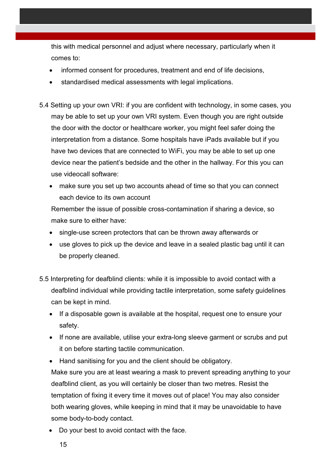this with medical personnel and adjust where necessary, particularly when it comes to:

- informed consent for procedures, treatment and end of life decisions,
- standardised medical assessments with legal implications.
- 5.4 Setting up your own VRI: if you are confident with technology, in some cases, you may be able to set up your own VRI system. Even though you are right outside the door with the doctor or healthcare worker, you might feel safer doing the interpretation from a distance. Some hospitals have iPads available but if you have two devices that are connected to WiFi, you may be able to set up one device near the patient's bedside and the other in the hallway. For this you can use videocall software:
	- make sure you set up two accounts ahead of time so that you can connect each device to its own account

Remember the issue of possible cross-contamination if sharing a device, so make sure to either have:

- single-use screen protectors that can be thrown away afterwards or
- use gloves to pick up the device and leave in a sealed plastic bag until it can be properly cleaned.
- 5.5 Interpreting for deafblind clients: while it is impossible to avoid contact with a deafblind individual while providing tactile interpretation, some safety guidelines can be kept in mind.
	- If a disposable gown is available at the hospital, request one to ensure your safety.
	- If none are available, utilise your extra-long sleeve garment or scrubs and put it on before starting tactile communication.
	- Hand sanitising for you and the client should be obligatory.

Make sure you are at least wearing a mask to prevent spreading anything to your deafblind client, as you will certainly be closer than two metres. Resist the temptation of fixing it every time it moves out of place! You may also consider both wearing gloves, while keeping in mind that it may be unavoidable to have some body-to-body contact.

Do your best to avoid contact with the face.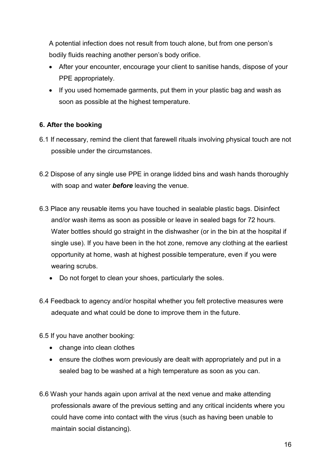A potential infection does not result from touch alone, but from one person's bodily fluids reaching another person's body orifice.

- After your encounter, encourage your client to sanitise hands, dispose of your PPE appropriately.
- If you used homemade garments, put them in your plastic bag and wash as soon as possible at the highest temperature.

#### **6. After the booking**

- 6.1 If necessary, remind the client that farewell rituals involving physical touch are not possible under the circumstances.
- 6.2 Dispose of any single use PPE in orange lidded bins and wash hands thoroughly with soap and water *before* leaving the venue.
- 6.3 Place any reusable items you have touched in sealable plastic bags. Disinfect and/or wash items as soon as possible or leave in sealed bags for 72 hours. Water bottles should go straight in the dishwasher (or in the bin at the hospital if single use). If you have been in the hot zone, remove any clothing at the earliest opportunity at home, wash at highest possible temperature, even if you were wearing scrubs.
	- Do not forget to clean your shoes, particularly the soles.
- 6.4 Feedback to agency and/or hospital whether you felt protective measures were adequate and what could be done to improve them in the future.

6.5 If you have another booking:

- change into clean clothes
- ensure the clothes worn previously are dealt with appropriately and put in a sealed bag to be washed at a high temperature as soon as you can.
- 6.6 Wash your hands again upon arrival at the next venue and make attending professionals aware of the previous setting and any critical incidents where you could have come into contact with the virus (such as having been unable to maintain social distancing).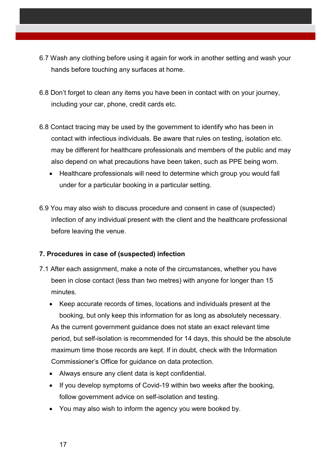- 6.7 Wash any clothing before using it again for work in another setting and wash your hands before touching any surfaces at home.
- 6.8 Don't forget to clean any items you have been in contact with on your journey, including your car, phone, credit cards etc.
- 6.8 Contact tracing may be used by the government to identify who has been in contact with infectious individuals. Be aware that rules on testing, isolation etc. may be different for healthcare professionals and members of the public and may also depend on what precautions have been taken, such as PPE being worn.
	- Healthcare professionals will need to determine which group you would fall under for a particular booking in a particular setting.
- 6.9 You may also wish to discuss procedure and consent in case of (suspected) infection of any individual present with the client and the healthcare professional before leaving the venue.

#### **7. Procedures in case of (suspected) infection**

- 7.1 After each assignment, make a note of the circumstances, whether you have been in close contact (less than two metres) with anyone for longer than 15 minutes.
	- Keep accurate records of times, locations and individuals present at the booking, but only keep this information for as long as absolutely necessary. As the current government guidance does not state an exact relevant time period, but self-isolation is recommended for 14 days, this should be the absolute maximum time those records are kept. If in doubt, check with the Information Commissioner's Office for guidance on data protection.
	- Always ensure any client data is kept confidential.
	- If you develop symptoms of Covid-19 within two weeks after the booking, follow government advice on self-isolation and testing.
	- You may also wish to inform the agency you were booked by.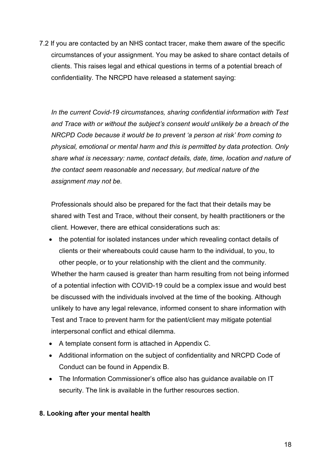7.2 If you are contacted by an NHS contact tracer, make them aware of the specific circumstances of your assignment. You may be asked to share contact details of clients. This raises legal and ethical questions in terms of a potential breach of confidentiality. The NRCPD have released a statement saying:

*In the current Covid-19 circumstances, sharing confidential information with Test and Trace with or without the subject's consent would unlikely be a breach of the NRCPD Code because it would be to prevent 'a person at risk' from coming to physical, emotional or mental harm and this is permitted by data protection. Only share what is necessary: name, contact details, date, time, location and nature of the contact seem reasonable and necessary, but medical nature of the assignment may not be.* 

Professionals should also be prepared for the fact that their details may be shared with Test and Trace, without their consent, by health practitioners or the client. However, there are ethical considerations such as:

- the potential for isolated instances under which revealing contact details of clients or their whereabouts could cause harm to the individual, to you, to other people, or to your relationship with the client and the community. Whether the harm caused is greater than harm resulting from not being informed of a potential infection with COVID-19 could be a complex issue and would best be discussed with the individuals involved at the time of the booking. Although unlikely to have any legal relevance, informed consent to share information with Test and Trace to prevent harm for the patient/client may mitigate potential interpersonal conflict and ethical dilemma.
- A template consent form is attached in Appendix C.
- Additional information on the subject of confidentiality and NRCPD Code of Conduct can be found in Appendix B.
- The Information Commissioner's office also has quidance available on IT security. The link is available in the further resources section.

#### **8. Looking after your mental health**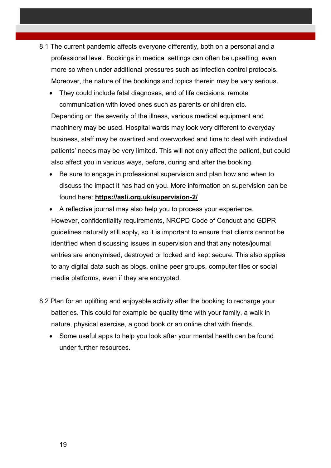- 8.1 The current pandemic affects everyone differently, both on a personal and a professional level. Bookings in medical settings can often be upsetting, even more so when under additional pressures such as infection control protocols. Moreover, the nature of the bookings and topics therein may be very serious.
	- They could include fatal diagnoses, end of life decisions, remote communication with loved ones such as parents or children etc. Depending on the severity of the illness, various medical equipment and machinery may be used. Hospital wards may look very different to everyday business, staff may be overtired and overworked and time to deal with individual patients' needs may be very limited. This will not only affect the patient, but could also affect you in various ways, before, during and after the booking.
	- Be sure to engage in professional supervision and plan how and when to discuss the impact it has had on you. More information on supervision can be found here: **https://asli.org.uk/supervision-2/**
	- A reflective journal may also help you to process your experience. However, confidentiality requirements, NRCPD Code of Conduct and GDPR guidelines naturally still apply, so it is important to ensure that clients cannot be identified when discussing issues in supervision and that any notes/journal entries are anonymised, destroyed or locked and kept secure. This also applies to any digital data such as blogs, online peer groups, computer files or social media platforms, even if they are encrypted.
- 8.2 Plan for an uplifting and enjoyable activity after the booking to recharge your batteries. This could for example be quality time with your family, a walk in nature, physical exercise, a good book or an online chat with friends.
	- Some useful apps to help you look after your mental health can be found under further resources.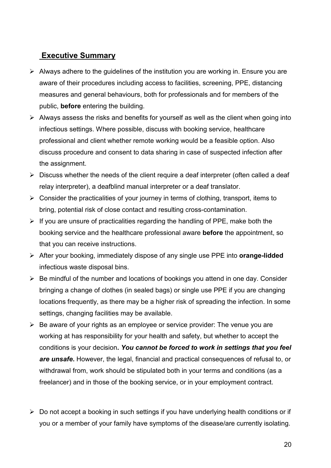### **Executive Summary**

- $\triangleright$  Always adhere to the quidelines of the institution you are working in. Ensure you are aware of their procedures including access to facilities, screening, PPE, distancing measures and general behaviours, both for professionals and for members of the public, **before** entering the building.
- $\triangleright$  Always assess the risks and benefits for yourself as well as the client when going into infectious settings. Where possible, discuss with booking service, healthcare professional and client whether remote working would be a feasible option. Also discuss procedure and consent to data sharing in case of suspected infection after the assignment.
- $\triangleright$  Discuss whether the needs of the client require a deaf interpreter (often called a deaf relay interpreter), a deafblind manual interpreter or a deaf translator.
- $\triangleright$  Consider the practicalities of your journey in terms of clothing, transport, items to bring, potential risk of close contact and resulting cross-contamination.
- $\triangleright$  If you are unsure of practicalities regarding the handling of PPE, make both the booking service and the healthcare professional aware **before** the appointment, so that you can receive instructions.
- After your booking, immediately dispose of any single use PPE into **orange-lidded** infectious waste disposal bins.
- $\triangleright$  Be mindful of the number and locations of bookings you attend in one day. Consider bringing a change of clothes (in sealed bags) or single use PPE if you are changing locations frequently, as there may be a higher risk of spreading the infection. In some settings, changing facilities may be available.
- $\triangleright$  Be aware of your rights as an employee or service provider: The venue you are working at has responsibility for your health and safety, but whether to accept the conditions is your decision**.** *You cannot be forced to work in settings that you feel are unsafe***.** However, the legal, financial and practical consequences of refusal to, or withdrawal from, work should be stipulated both in your terms and conditions (as a freelancer) and in those of the booking service, or in your employment contract.
- $\triangleright$  Do not accept a booking in such settings if you have underlying health conditions or if you or a member of your family have symptoms of the disease/are currently isolating.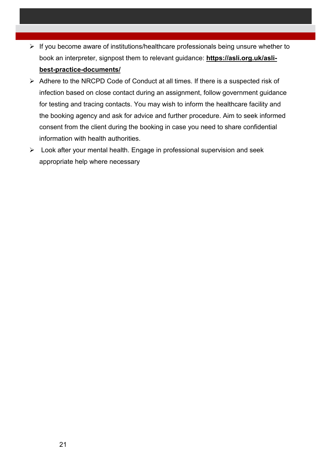- $\triangleright$  If you become aware of institutions/healthcare professionals being unsure whether to book an interpreter, signpost them to relevant guidance: **https://asli.org.uk/aslibest-practice-documents/**
- $\triangleright$  Adhere to the NRCPD Code of Conduct at all times. If there is a suspected risk of infection based on close contact during an assignment, follow government guidance for testing and tracing contacts. You may wish to inform the healthcare facility and the booking agency and ask for advice and further procedure. Aim to seek informed consent from the client during the booking in case you need to share confidential information with health authorities.
- $\triangleright$  Look after your mental health. Engage in professional supervision and seek appropriate help where necessary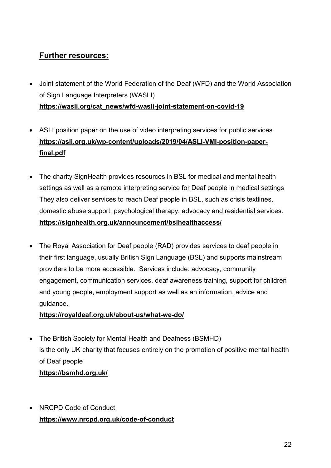### **Further resources:**

- Joint statement of the World Federation of the Deaf (WFD) and the World Association of Sign Language Interpreters (WASLI) **https://wasli.org/cat\_news/wfd-wasli-joint-statement-on-covid-19**
- ASLI position paper on the use of video interpreting services for public services **https://asli.org.uk/wp-content/uploads/2019/04/ASLI-VMI-position-paperfinal.pdf**
- The charity SignHealth provides resources in BSL for medical and mental health settings as well as a remote interpreting service for Deaf people in medical settings They also deliver services to reach Deaf people in BSL, such as crisis textlines, domestic abuse support, psychological therapy, advocacy and residential services. **https://signhealth.org.uk/announcement/bslhealthaccess/**
- The Royal Association for Deaf people (RAD) provides services to deaf people in their first language, usually British Sign Language (BSL) and supports mainstream providers to be more accessible. Services include: advocacy, community engagement, communication services, deaf awareness training, support for children and young people, employment support as well as an information, advice and guidance.

#### **https://royaldeaf.org.uk/about-us/what-we-do/**

- The British Society for Mental Health and Deafness (BSMHD) is the only UK charity that focuses entirely on the promotion of positive mental health of Deaf people **https://bsmhd.org.uk/**
- NRCPD Code of Conduct **https://www.nrcpd.org.uk/code-of-conduct**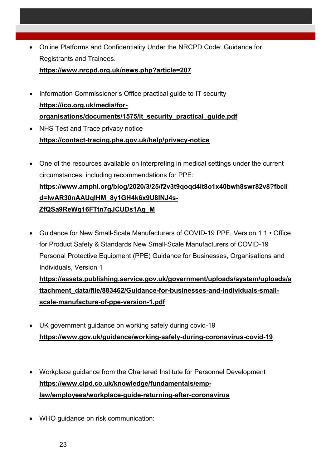Online Platforms and Confidentiality Under the NRCPD Code: Guidance for Registrants and Trainees.

**https://www.nrcpd.org.uk/news.php?article=207** 

- Information Commissioner's Office practical guide to IT security **https://ico.org.uk/media/fororganisations/documents/1575/it\_security\_practical\_guide.pdf**
- NHS Test and Trace privacy notice **https://contact-tracing.phe.gov.uk/help/privacy-notice**
- One of the resources available on interpreting in medical settings under the current circumstances, including recommendations for PPE: **https://www.amphl.org/blog/2020/3/25/f2v3t9qoqd4it8o1x40bwh8swr82v8?fbcli d=IwAR30nAAUqlHM\_8y1GH4k6x9U8INJ4s-ZfQSa9ReWg16FTtn7gJCUDs1Ag\_M**
- Guidance for New Small-Scale Manufacturers of COVID-19 PPE, Version 1 1 Office for Product Safety & Standards New Small-Scale Manufacturers of COVID-19 Personal Protective Equipment (PPE) Guidance for Businesses, Organisations and Individuals, Version 1 **https://assets.publishing.service.gov.uk/government/uploads/system/uploads/a ttachment\_data/file/883462/Guidance-for-businesses-and-individuals-small-**

**scale-manufacture-of-ppe-version-1.pdf** 

- UK government guidance on working safely during covid-19 **https://www.gov.uk/guidance/working-safely-during-coronavirus-covid-19**
- Workplace guidance from the Chartered Institute for Personnel Development **https://www.cipd.co.uk/knowledge/fundamentals/emplaw/employees/workplace-guide-returning-after-coronavirus**
- WHO guidance on risk communication: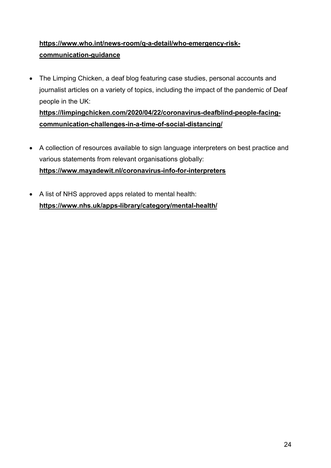### **https://www.who.int/news-room/q-a-detail/who-emergency-riskcommunication-guidance**

 The Limping Chicken, a deaf blog featuring case studies, personal accounts and journalist articles on a variety of topics, including the impact of the pandemic of Deaf people in the UK: **https://limpingchicken.com/2020/04/22/coronavirus-deafblind-people-facing-**

**communication-challenges-in-a-time-of-social-distancing/** 

- A collection of resources available to sign language interpreters on best practice and various statements from relevant organisations globally: **https://www.mayadewit.nl/coronavirus-info-for-interpreters**
- A list of NHS approved apps related to mental health: **https://www.nhs.uk/apps-library/category/mental-health/**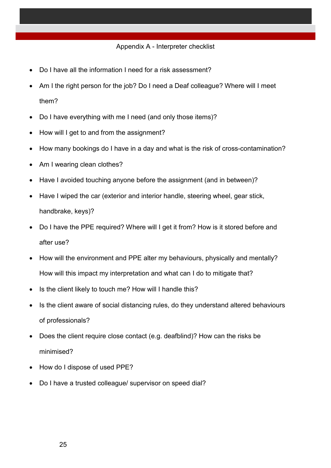#### Appendix A - Interpreter checklist

- Do I have all the information I need for a risk assessment?
- Am I the right person for the job? Do I need a Deaf colleague? Where will I meet them?
- Do I have everything with me I need (and only those items)?
- How will I get to and from the assignment?
- How many bookings do I have in a day and what is the risk of cross-contamination?
- Am I wearing clean clothes?
- Have I avoided touching anyone before the assignment (and in between)?
- Have I wiped the car (exterior and interior handle, steering wheel, gear stick, handbrake, keys)?
- Do I have the PPE required? Where will I get it from? How is it stored before and after use?
- How will the environment and PPE alter my behaviours, physically and mentally? How will this impact my interpretation and what can I do to mitigate that?
- Is the client likely to touch me? How will I handle this?
- Is the client aware of social distancing rules, do they understand altered behaviours of professionals?
- Does the client require close contact (e.g. deafblind)? How can the risks be minimised?
- How do I dispose of used PPE?
- Do I have a trusted colleague/ supervisor on speed dial?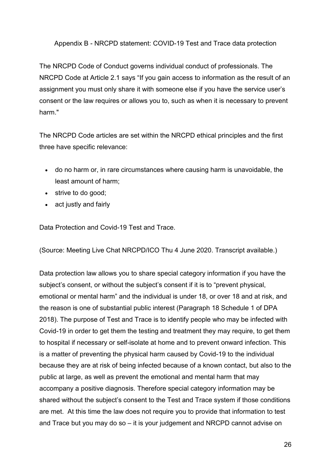Appendix B - NRCPD statement: COVID-19 Test and Trace data protection

The NRCPD Code of Conduct governs individual conduct of professionals. The NRCPD Code at Article 2.1 says "If you gain access to information as the result of an assignment you must only share it with someone else if you have the service user's consent or the law requires or allows you to, such as when it is necessary to prevent harm."

The NRCPD Code articles are set within the NRCPD ethical principles and the first three have specific relevance:

- do no harm or, in rare circumstances where causing harm is unavoidable, the least amount of harm;
- strive to do good:
- act justly and fairly

Data Protection and Covid-19 Test and Trace.

(Source: Meeting Live Chat NRCPD/ICO Thu 4 June 2020. Transcript available.)

Data protection law allows you to share special category information if you have the subject's consent, or without the subject's consent if it is to "prevent physical, emotional or mental harm" and the individual is under 18, or over 18 and at risk, and the reason is one of substantial public interest (Paragraph 18 Schedule 1 of DPA 2018). The purpose of Test and Trace is to identify people who may be infected with Covid-19 in order to get them the testing and treatment they may require, to get them to hospital if necessary or self-isolate at home and to prevent onward infection. This is a matter of preventing the physical harm caused by Covid-19 to the individual because they are at risk of being infected because of a known contact, but also to the public at large, as well as prevent the emotional and mental harm that may accompany a positive diagnosis. Therefore special category information may be shared without the subject's consent to the Test and Trace system if those conditions are met. At this time the law does not require you to provide that information to test and Trace but you may do so – it is your judgement and NRCPD cannot advise on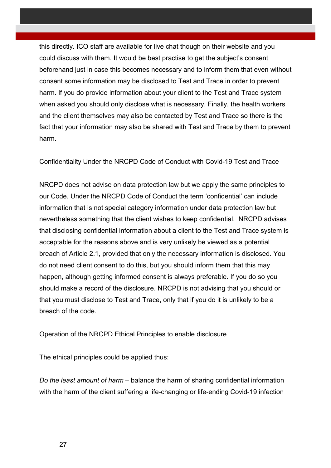this directly. ICO staff are available for live chat though on their website and you could discuss with them. It would be best practise to get the subject's consent beforehand just in case this becomes necessary and to inform them that even without consent some information may be disclosed to Test and Trace in order to prevent harm. If you do provide information about your client to the Test and Trace system when asked you should only disclose what is necessary. Finally, the health workers and the client themselves may also be contacted by Test and Trace so there is the fact that your information may also be shared with Test and Trace by them to prevent harm.

Confidentiality Under the NRCPD Code of Conduct with Covid-19 Test and Trace

NRCPD does not advise on data protection law but we apply the same principles to our Code. Under the NRCPD Code of Conduct the term 'confidential' can include information that is not special category information under data protection law but nevertheless something that the client wishes to keep confidential. NRCPD advises that disclosing confidential information about a client to the Test and Trace system is acceptable for the reasons above and is very unlikely be viewed as a potential breach of Article 2.1, provided that only the necessary information is disclosed. You do not need client consent to do this, but you should inform them that this may happen, although getting informed consent is always preferable. If you do so you should make a record of the disclosure. NRCPD is not advising that you should or that you must disclose to Test and Trace, only that if you do it is unlikely to be a breach of the code.

Operation of the NRCPD Ethical Principles to enable disclosure

The ethical principles could be applied thus:

*Do the least amount of harm* – balance the harm of sharing confidential information with the harm of the client suffering a life-changing or life-ending Covid-19 infection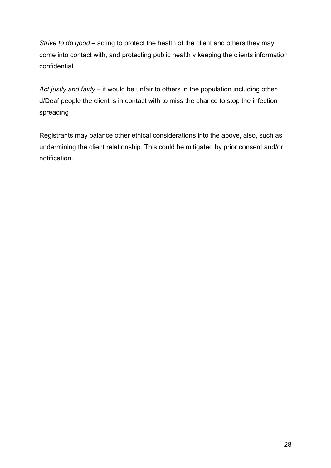*Strive to do good* – acting to protect the health of the client and others they may come into contact with, and protecting public health v keeping the clients information confidential

*Act justly and fairly* – it would be unfair to others in the population including other d/Deaf people the client is in contact with to miss the chance to stop the infection spreading

Registrants may balance other ethical considerations into the above, also, such as undermining the client relationship. This could be mitigated by prior consent and/or notification.